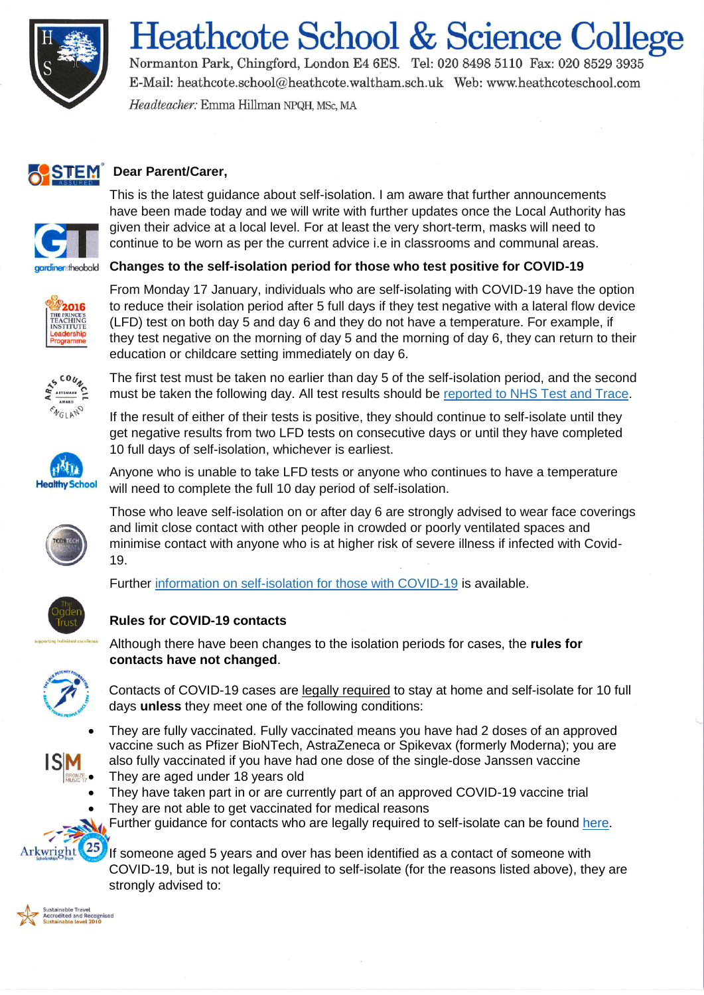

# **Heathcote School & Science College**

Normanton Park, Chingford, London E4 6ES. Tel: 020 8498 5110 Fax: 020 8529 3935 E-Mail: heathcote.school@heathcote.waltham.sch.uk Web: www.heathcoteschool.com Headteacher: Emma Hillman NPQH, MSc, MA



## **STEM** Dear Parent/Carer,



This is the latest guidance about self-isolation. I am aware that further announcements have been made today and we will write with further updates once the Local Authority has given their advice at a local level. For at least the very short-term, masks will need to continue to be worn as per the current advice i.e in classrooms and communal areas.

### gardiner theobald **Changes to the self-isolation period for those who test positive for COVID-19**



From Monday 17 January, individuals who are self-isolating with COVID-19 have the option to reduce their isolation period after 5 full days if they test negative with a lateral flow device (LFD) test on both day 5 and day 6 and they do not have a temperature. For example, if they test negative on the morning of day 5 and the morning of day 6, they can return to their education or childcare setting immediately on day 6.



The first test must be taken no earlier than day 5 of the self-isolation period, and the second must be taken the following day. All test results should be [reported to NHS Test and Trace.](https://www.gov.uk/report-covid19-result?utm_source=14%20January%202022%20C19&utm_medium=Daily%20Email%20C19&utm_campaign=DfE%20C19)

If the result of either of their tests is positive, they should continue to self-isolate until they get negative results from two LFD tests on consecutive days or until they have completed 10 full days of self-isolation, whichever is earliest.



Anyone who is unable to take LFD tests or anyone who continues to have a temperature will need to complete the full 10 day period of self-isolation.



Those who leave self-isolation on or after day 6 are strongly advised to wear face coverings and limit close contact with other people in crowded or poorly ventilated spaces and minimise contact with anyone who is at higher risk of severe illness if infected with Covid-19.

Further [information on self-isolation for those with COVID-19](https://www.gov.uk/government/news/self-isolation-for-those-with-covid-19-can-end-after-five-full-days-following-two-negative-lfd-tests?utm_source=14%20January%202022%20C19&utm_medium=Daily%20Email%20C19&utm_campaign=DfE%20C19) is available.

## **Rules for COVID-19 contacts**



Although there have been changes to the isolation periods for cases, the **rules for contacts have not changed**.

Contacts of COVID-19 cases are legally required to stay at home and self-isolate for 10 full days **unless** they meet one of the following conditions:

- They are fully vaccinated. Fully vaccinated means you have had 2 doses of an approved vaccine such as Pfizer BioNTech, AstraZeneca or Spikevax (formerly Moderna); you are also fully vaccinated if you have had one dose of the single-dose Janssen vaccine
- They are aged under 18 years old
- They have taken part in or are currently part of an approved COVID-19 vaccine trial
- They are not able to get vaccinated for medical reasons
- Further guidance for contacts who are legally required to self-isolate can be found [here.](https://www.gov.uk/government/publications/guidance-for-contacts-of-people-with-possible-or-confirmed-coronavirus-covid-19-infection-who-do-not-live-with-the-person/guidance-for-contacts-of-people-with-possible-or-confirmed-coronavirus-covid-19-infection-who-do-not-live-with-the-person#contacts-who-are-legally-required-to-self-isolate)

If someone aged 5 years and over has been identified as a contact of someone with COVID-19, but is not legally required to self-isolate (for the reasons listed above), they are strongly advised to:



Arkwright

25